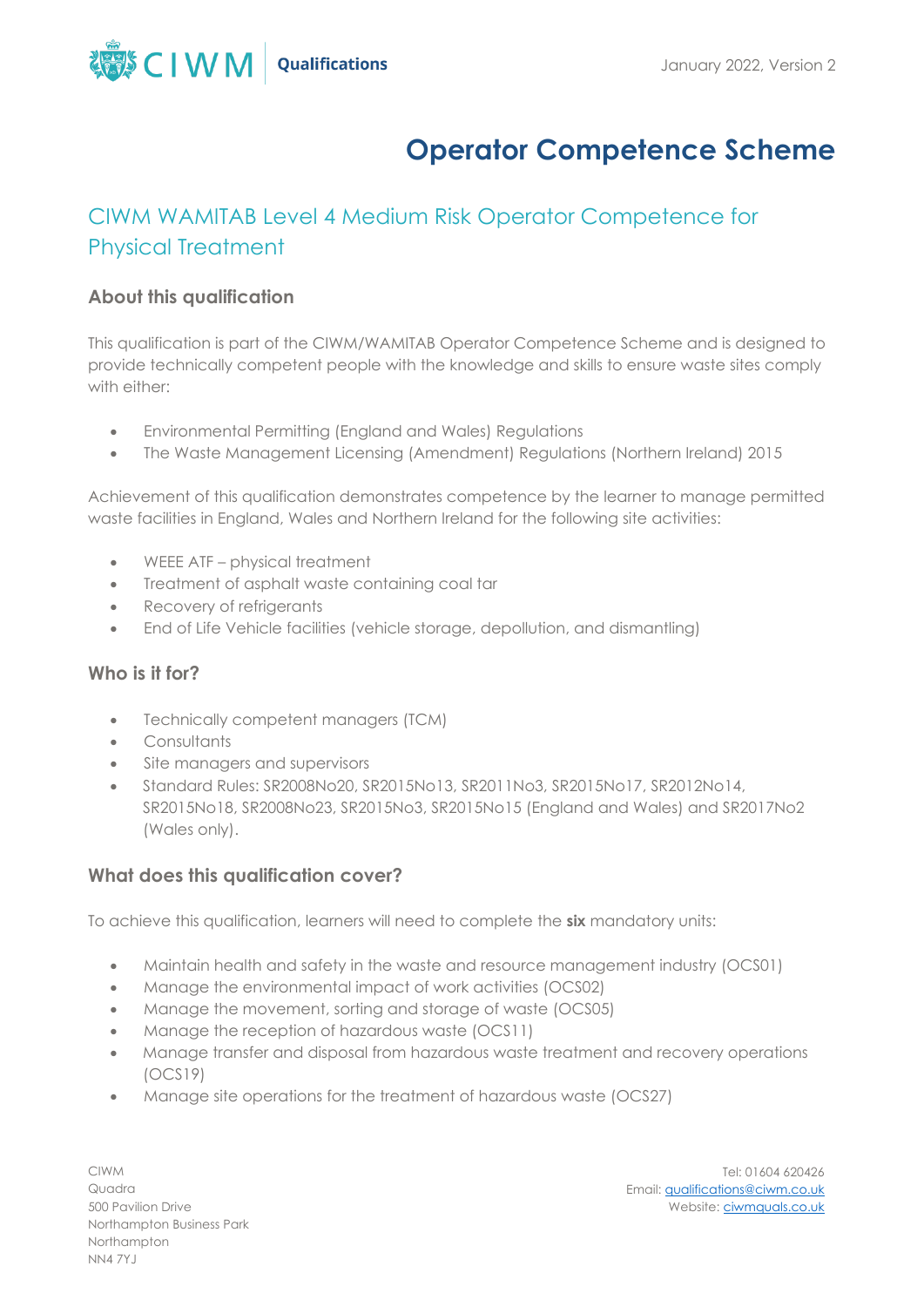

# **Operator Competence Scheme**

# CIWM WAMITAB Level 4 Medium Risk Operator Competence for Physical Treatment

# **About this qualification**

This qualification is part of the CIWM/WAMITAB Operator Competence Scheme and is designed to provide technically competent people with the knowledge and skills to ensure waste sites comply with either:

- Environmental Permitting (England and Wales) Regulations
- The Waste Management Licensing (Amendment) Regulations (Northern Ireland) 2015

Achievement of this qualification demonstrates competence by the learner to manage permitted waste facilities in England, Wales and Northern Ireland for the following site activities:

- WEEE ATF physical treatment
- Treatment of asphalt waste containing coal tar
- Recovery of refrigerants
- End of Life Vehicle facilities (vehicle storage, depollution, and dismantling)

#### **Who is it for?**

- Technically competent managers (TCM)
- Consultants
- Site managers and supervisors
- Standard Rules: SR2008No20, SR2015No13, SR2011No3, SR2015No17, SR2012No14, SR2015No18, SR2008No23, SR2015No3, SR2015No15 (England and Wales) and SR2017No2 (Wales only).

# **What does this qualification cover?**

To achieve this qualification, learners will need to complete the **six** mandatory units:

- Maintain health and safety in the waste and resource management industry (OCS01)
- Manage the environmental impact of work activities (OCS02)
- Manage the movement, sorting and storage of waste (OCS05)
- Manage the reception of hazardous waste (OCS11)
- Manage transfer and disposal from hazardous waste treatment and recovery operations (OCS19)
- Manage site operations for the treatment of hazardous waste (OCS27)

CIWM Quadra 500 Pavilion Drive Northampton Business Park Northampton NN4 7YJ

Tel: 01604 620426 Email[: qualifications@ciwm.co.uk](mailto:qualifications@ciwm.co.uk) Website: [ciwmquals.co.uk](https://www.ciwm.co.uk/ciwm/home/ciwm/default.aspx?hkey=95e241b6-a82d-4a99-aae0-a0f49b65d10b)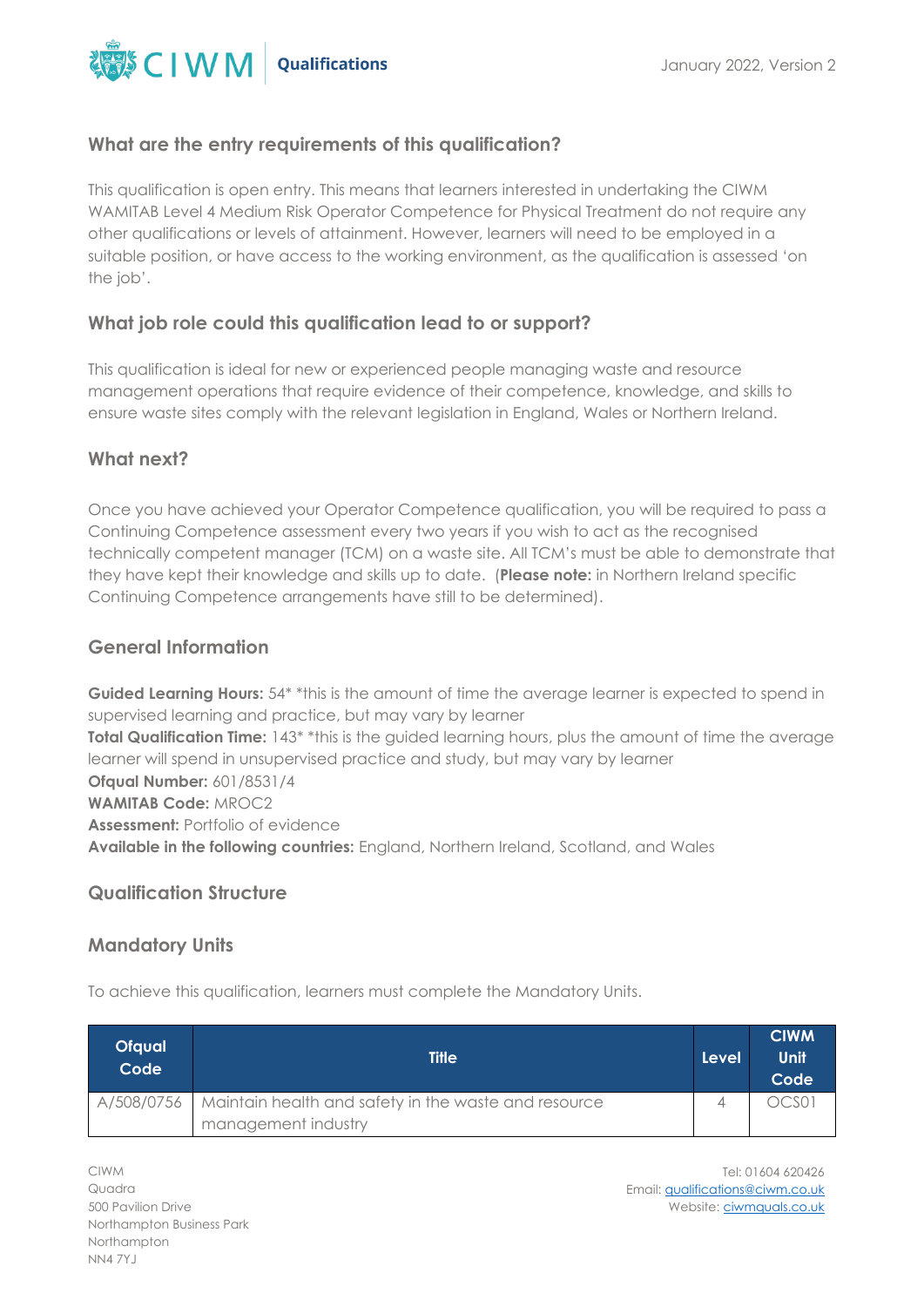

### **What are the entry requirements of this qualification?**

This qualification is open entry. This means that learners interested in undertaking the CIWM WAMITAB Level 4 Medium Risk Operator Competence for Physical Treatment do not require any other qualifications or levels of attainment. However, learners will need to be employed in a suitable position, or have access to the working environment, as the qualification is assessed 'on the job'.

#### **What job role could this qualification lead to or support?**

This qualification is ideal for new or experienced people managing waste and resource management operations that require evidence of their competence, knowledge, and skills to ensure waste sites comply with the relevant legislation in England, Wales or Northern Ireland.

## What next?

Once you have achieved your Operator Competence qualification, you will be required to pass a Continuing Competence assessment every two years if you wish to act as the recognised technically competent manager (TCM) on a waste site. All TCM's must be able to demonstrate that they have kept their knowledge and skills up to date. (**Please note:** in Northern Ireland specific Continuing Competence arrangements have still to be determined).

### **General Information**

Guided Learning Hours: 54\* \*this is the amount of time the average learner is expected to spend in supervised learning and practice, but may vary by learner **Total Qualification Time:** 143<sup>\*</sup> \*this is the guided learning hours, plus the amount of time the average learner will spend in unsupervised practice and study, but may vary by learner **Ofqual Number:** 601/8531/4 **WAMITAB Code:** MROC2 **Assessment:** Portfolio of evidence **Available in the following countries:** England, Northern Ireland, Scotland, and Wales

#### **Qualification Structure**

#### **Mandatory Units**

To achieve this qualification, learners must complete the Mandatory Units.

| <b>Ofqual</b><br>Code | <b>Title</b>                                                      | Level | <b>CIWM</b><br>Unit<br>Code |
|-----------------------|-------------------------------------------------------------------|-------|-----------------------------|
|                       | A/508/0756   Maintain health and safety in the waste and resource |       | OCS01                       |
|                       | management industry                                               |       |                             |

CIWM Quadra 500 Pavilion Drive Northampton Business Park Northampton NN4 7YJ

Tel: 01604 620426 Email[: qualifications@ciwm.co.uk](mailto:qualifications@ciwm.co.uk) Website: [ciwmquals.co.uk](https://www.ciwm.co.uk/ciwm/home/ciwm/default.aspx?hkey=95e241b6-a82d-4a99-aae0-a0f49b65d10b)